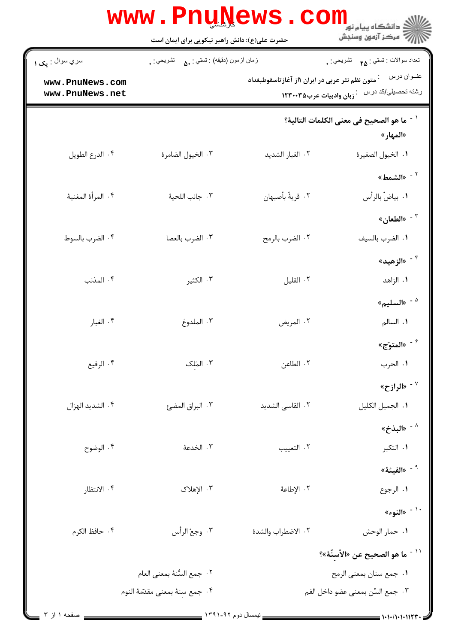|                                                                   | <b>WWW.PNUNEWS.COILL</b>                      |                                                |                                                                                                             |
|-------------------------------------------------------------------|-----------------------------------------------|------------------------------------------------|-------------------------------------------------------------------------------------------------------------|
| سري سوال : <sub>م</sub> ک ۱<br>www.PnuNews.com<br>www.PnuNews.net | زمان أزمون (دقيقه) : تستي : ۵۰     تشريحي : . | متون نظم نثر عربی در ایران ۱از آغازتاسقوطبغداد | تعداد سوالات : تستي : مم       تشريحي : .<br>عنــوان درس<br>رشته تحصیلی/کد درس $\,$ زبان وادبیات عرب۱۲۳۰۰۳۵ |
|                                                                   |                                               |                                                | <sup>' -</sup> ما هو الصحيح في معنى الكلمات التالية؟<br>«المهار»                                            |
| ۰۴ الدرع الطويل                                                   | ٠٣ الخيول الضامرة                             | ٠٢ الغبار الشديد                               | ٠١. الخيول الصغيرة                                                                                          |
|                                                                   |                                               |                                                | <sup>٢ -</sup> «الشمط»                                                                                      |
| ۰۴ المرأة المغنية                                                 | ٠٣ جانب اللحية                                | ٠٢ قريةٌ بأصبهان                               | ٠١. بياضٌ بالرأس                                                                                            |
|                                                                   |                                               |                                                | الطعان» $^{\circ}$                                                                                          |
| ۰۴ الضرب بالسوط                                                   | ٠٣ الضرب بالعصا                               | ٠٢ الضرب بالرمح                                | ٠١ الضرب بالسيف<br><sup>۴ -</sup> «الزهيد»                                                                  |
| ۰۴ المذنب                                                         | ۰۳ الکثیر                                     | ٠٢ القليل                                      | ۰۱ الزاهد                                                                                                   |
|                                                                   |                                               |                                                | $^4$ السليم»                                                                                                |
| ۰۴ الغبار                                                         | ۰۳ الملدوغ                                    | ٢. المريض                                      | ١. السالم                                                                                                   |
|                                                                   |                                               |                                                | المتوّج» $^{\circ}$                                                                                         |
| ۰۴ الرفيع                                                         | ۰۳ المَلک                                     | ٢. الطاعن                                      | ١. الحرب                                                                                                    |
|                                                                   |                                               |                                                | $^{\vee}$ الرازح» $^{\vee}$                                                                                 |
| ۰۴ الشديد الهزال                                                  | ٠٣ البراق المضئ                               | ٢. القاسى الشديد                               | ٠١ الجميل الكليل                                                                                            |
|                                                                   |                                               |                                                | * - «البذخ»                                                                                                 |
| ۰۴ الوضوح                                                         | ٠٣ الخدعة                                     | ٢. التعييب                                     | ۰۱ التکبر                                                                                                   |
|                                                                   |                                               |                                                | $^{\circ}$ الفيئة» $^{\circ}$                                                                               |
| ۰۴ الانتظار                                                       | ۰۳ الإهلاک                                    | ٢. الإطاعة                                     | ٠١. الرجوع<br>۰٬ - «النوء»                                                                                  |
| ۰۴ حافظ الكرم                                                     | ٠٣ وجعُ الرأس                                 | ٢. الاضطراب والشدة                             | ٠١ حمار الوحش                                                                                               |
|                                                                   |                                               |                                                | ّ `` ما هو الصحيح عن «الأسنِّهْ»؟                                                                           |
|                                                                   | ٠٢ جمع السُّنهُ بمعنى العام                   |                                                | ٠١ جمع سنان بمعنى الرمح                                                                                     |
|                                                                   | ٠۴ جمع سنة بمعنى مقدّمة النوم                 |                                                | ٠٣ جمع السِّن بمعنى عضو داخل الفم                                                                           |
| $\mathbf{r}$ il lazion                                            |                                               | $1591 - 95$ cand usii                          |                                                                                                             |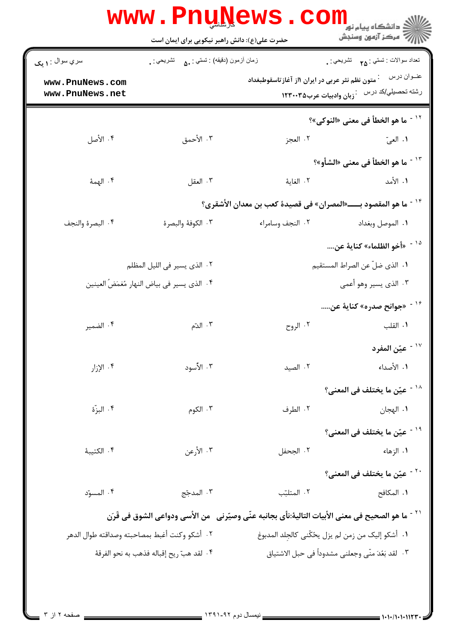|                                               | حضرت علی(ع): دانش راهبر نیکویی برای ایمان است   |                                                                                                       | 7' مرڪز آزمون وسنڊش                                           |
|-----------------------------------------------|-------------------------------------------------|-------------------------------------------------------------------------------------------------------|---------------------------------------------------------------|
| سري سوال : ۱ يک                               | زمان أزمون (دقيقه) : تستي : مي       تشريحي : . |                                                                                                       | تعداد سوالات : تستي : <sub>۲۵</sub> تشريحي : .<br>عنــوان درس |
| www.PnuNews.com<br>www.PnuNews.net            |                                                 | متون نظم نثر عربی در ایران ۱از آغاز تاسقوطبغداد                                                       | رشته تحصیلی/کد درس عز زبان وادبیات عرب۱۲۳۰۰۳۵                 |
|                                               |                                                 |                                                                                                       | <sup>11 -</sup> ما هو الخطأ في معنى «النوكي»؟                 |
| ۰۴ الأصل                                      | ٠٣ الأحمق                                       | ۰۲ العجز                                                                                              | ١. العيّ                                                      |
|                                               |                                                 |                                                                                                       | <sup>1۳ -</sup> ما هو الخطأ في معنى «الشأو»؟                  |
| ۰۴ الهمهٔ                                     | ۰۳ العقل                                        | ٢. الغايهٔ                                                                                            | ١. الأمد                                                      |
|                                               |                                                 | <sup>1۴ -</sup> ما هو المقصود بــــــ«المصران» في قصيدهٔ كعب بن معدان الأشقري؟                        |                                                               |
| ۰۴ البصرة والنجف                              | ٣. الكوفة والبصرة                               | ٠٢ النجف وسامراء                                                                                      | ٠١. الموصل وبغداد                                             |
|                                               |                                                 |                                                                                                       | <sup>10 -</sup> «أخو الظلماء» كناية عن                        |
|                                               | ٠٢ الذي يسير في الليل المظلم                    | ٠١. الذي ضلّ عن الصراط المستقيم                                                                       |                                                               |
|                                               | ۴. الذي يسير في بياض النهار مُغمَضُ العينين     |                                                                                                       | ۰۳ الذي يسير وهو أعمى                                         |
|                                               |                                                 |                                                                                                       | <sup>۱۶ -</sup> «جوانح صدره» کنایهٔ عن                        |
| ۰۴ الضمير                                     | ۰۳ الدّم                                        | ۰۲ الروح                                                                                              | ٠١. القلب                                                     |
|                                               |                                                 |                                                                                                       | عيّن المفرد $^{-1\,\mathrm{V}}$                               |
| $,$ الإ $,$ ال $^*$                           | ۰۳ الأسود                                       | ٠٢ الصيد                                                                                              | ١. الأصداء                                                    |
|                                               |                                                 |                                                                                                       | <sup>۱۸ -</sup> عيّن ما يختلف في المعنى؟                      |
| ۰۴ البزّة                                     | ۰۳ الکوم                                        | ۰۲ الطرف                                                                                              | ٠١. الهجان                                                    |
|                                               |                                                 |                                                                                                       | <sup>۱۹ -</sup> عيّن ما يختلف في المعنى؟                      |
| ۰۴ الكتيبة                                    | ۰۳ الأرعن                                       | ٢. الجحفل                                                                                             | ۰۱ الزهاء                                                     |
|                                               |                                                 |                                                                                                       | <sup>٢٠ -</sup> عيّن ما يختلف في المعنى؟                      |
| ۰۴ المسوّد                                    | ۰۳ المدجّج                                      | ٢. المتلبّب                                                                                           | ١. المكافح                                                    |
|                                               |                                                 | ّ ` ` - ما هو الصحيح في معنى الأبيات التالية:نأى بجانبه عنّي وصيّرني   من الأسي ودواعي الشوق في قَرَن |                                                               |
| ٢. أشكو وكنت أغبط بمصاحبته وصداقته طوال الدهر |                                                 | ٠١. أشكو إليك من زمن لم يزل يحُكّني كالجلد المدبوغ                                                    |                                                               |
| ۴. لقد هبّ ريح إقباله فذهب به نحو الفرقهٔ     |                                                 | ° ·   لقد بَعُدَ منّى وجعلني مشدوداً في حبل الاشتياق                                                  |                                                               |